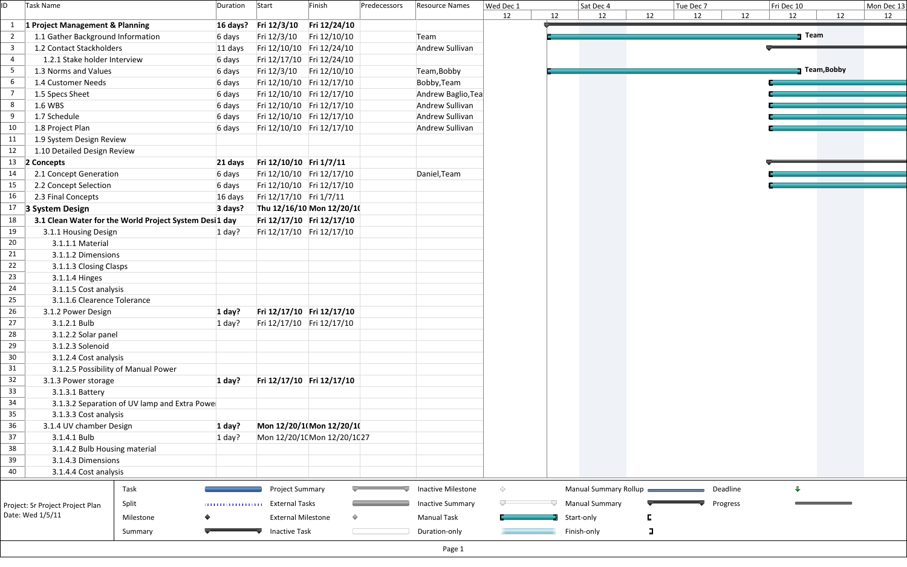| ID  | Task Name                                              | Duration                               | Start                     | Finish                     | Predecessors | <b>Resource Names</b>   | Wed Dec 1 |    | Sat Dec 4             |        | Tue Dec 7 |          | Fri Dec 10 |             | Mon De |
|-----|--------------------------------------------------------|----------------------------------------|---------------------------|----------------------------|--------------|-------------------------|-----------|----|-----------------------|--------|-----------|----------|------------|-------------|--------|
|     |                                                        |                                        |                           |                            |              |                         | 12        | 12 | 12                    | 12     | 12        | 12       | 12         | 12          | 12     |
| 1   | 1 Project Management & Planning                        |                                        | 16 days? Fri 12/3/10      | Fri 12/24/10               |              |                         |           |    |                       |        |           |          |            |             |        |
|     | 1.1 Gather Background Information                      | 6 days                                 | Fri 12/3/10               | Fri 12/10/10               |              | Team                    |           |    |                       |        |           |          | Team       |             |        |
| 3   | 1.2 Contact Stackholders                               | 11 days                                |                           | Fri 12/10/10 Fri 12/24/10  |              | Andrew Sullivan         |           |    |                       |        |           |          |            |             |        |
| 4   | 1.2.1 Stake holder Interview                           | 6 days                                 |                           | Fri 12/17/10 Fri 12/24/10  |              |                         |           |    |                       |        |           |          |            |             |        |
| 5   | 1.3 Norms and Values                                   | 6 days                                 |                           | Fri 12/3/10 Fri 12/10/10   |              | Team, Bobby             |           |    |                       |        |           |          |            | Team, Bobby |        |
| 6   | 1.4 Customer Needs                                     | 6 days                                 |                           | Fri 12/10/10 Fri 12/17/10  |              | Bobby, Team             |           |    |                       |        |           |          |            |             |        |
| - 7 | 1.5 Specs Sheet                                        | 6 days                                 |                           | Fri 12/10/10 Fri 12/17/10  |              | Andrew Baglio, Tea      |           |    |                       |        |           |          |            |             |        |
| 8   | 1.6 WBS                                                | 6 days                                 |                           | Fri 12/10/10 Fri 12/17/10  |              | Andrew Sullivan         |           |    |                       |        |           |          |            |             |        |
| 9   | 1.7 Schedule                                           | 6 days                                 |                           | Fri 12/10/10 Fri 12/17/10  |              | Andrew Sullivan         |           |    |                       |        |           |          |            |             |        |
| 10  | 1.8 Project Plan                                       | 6 days                                 |                           | Fri 12/10/10 Fri 12/17/10  |              | Andrew Sullivan         |           |    |                       |        |           |          |            |             |        |
| 11  | 1.9 System Design Review                               |                                        |                           |                            |              |                         |           |    |                       |        |           |          |            |             |        |
| 12  | 1.10 Detailed Design Review                            |                                        |                           |                            |              |                         |           |    |                       |        |           |          |            |             |        |
| 13  | 2 Concepts                                             | 21 days                                | Fri 12/10/10 Fri 1/7/11   |                            |              |                         |           |    |                       |        |           |          |            |             |        |
| 14  | 2.1 Concept Generation                                 | 6 days                                 |                           | Fri 12/10/10 Fri 12/17/10  |              | Daniel, Team            |           |    |                       |        |           |          |            |             |        |
| 15  | 2.2 Concept Selection                                  | 6 days                                 |                           | Fri 12/10/10 Fri 12/17/10  |              |                         |           |    |                       |        |           |          |            |             |        |
| 16  | 2.3 Final Concepts                                     | 16 days                                | Fri 12/17/10 Fri 1/7/11   |                            |              |                         |           |    |                       |        |           |          |            |             |        |
| 17  | 3 System Design                                        | 3 days?                                |                           | Thu 12/16/10 Mon 12/20/10  |              |                         |           |    |                       |        |           |          |            |             |        |
| 18  | 3.1 Clean Water for the World Project System Desi1 day |                                        |                           | Fri 12/17/10 Fri 12/17/10  |              |                         |           |    |                       |        |           |          |            |             |        |
| 19  | 3.1.1 Housing Design                                   | $1$ day?                               |                           | Fri 12/17/10 Fri 12/17/10  |              |                         |           |    |                       |        |           |          |            |             |        |
| 20  | 3.1.1.1 Material                                       |                                        |                           |                            |              |                         |           |    |                       |        |           |          |            |             |        |
| 21  | 3.1.1.2 Dimensions                                     |                                        |                           |                            |              |                         |           |    |                       |        |           |          |            |             |        |
| 22  | 3.1.1.3 Closing Clasps                                 |                                        |                           |                            |              |                         |           |    |                       |        |           |          |            |             |        |
| 23  | 3.1.1.4 Hinges                                         |                                        |                           |                            |              |                         |           |    |                       |        |           |          |            |             |        |
| 24  | 3.1.1.5 Cost analysis                                  |                                        |                           |                            |              |                         |           |    |                       |        |           |          |            |             |        |
| 25  | 3.1.1.6 Clearence Tolerance                            |                                        |                           |                            |              |                         |           |    |                       |        |           |          |            |             |        |
| 26  | 3.1.2 Power Design                                     | 1 day?                                 |                           | Fri 12/17/10 Fri 12/17/10  |              |                         |           |    |                       |        |           |          |            |             |        |
| 27  | 3.1.2.1 Bulb                                           | $1$ day?                               |                           | Fri 12/17/10 Fri 12/17/10  |              |                         |           |    |                       |        |           |          |            |             |        |
| 28  | 3.1.2.2 Solar panel                                    |                                        |                           |                            |              |                         |           |    |                       |        |           |          |            |             |        |
| 29  | 3.1.2.3 Solenoid                                       |                                        |                           |                            |              |                         |           |    |                       |        |           |          |            |             |        |
| 30  | 3.1.2.4 Cost analysis                                  |                                        |                           |                            |              |                         |           |    |                       |        |           |          |            |             |        |
| 31  | 3.1.2.5 Possibility of Manual Power                    |                                        |                           |                            |              |                         |           |    |                       |        |           |          |            |             |        |
| 32  | 3.1.3 Power storage                                    | $1$ day?                               |                           | Fri 12/17/10 Fri 12/17/10  |              |                         |           |    |                       |        |           |          |            |             |        |
| 33  | 3.1.3.1 Battery                                        |                                        |                           |                            |              |                         |           |    |                       |        |           |          |            |             |        |
| 34  | 3.1.3.2 Separation of UV lamp and Extra Powe           |                                        |                           |                            |              |                         |           |    |                       |        |           |          |            |             |        |
| 35  | 3.1.3.3 Cost analysis                                  |                                        |                           |                            |              |                         |           |    |                       |        |           |          |            |             |        |
| 36  | 3.1.4 UV chamber Design                                | 1 day?                                 |                           | Mon 12/20/1(Mon 12/20/1(   |              |                         |           |    |                       |        |           |          |            |             |        |
| 37  | 3.1.4.1 Bulb                                           | $1$ day?                               |                           | Mon 12/20/1(Mon 12/20/1(27 |              |                         |           |    |                       |        |           |          |            |             |        |
| 38  | 3.1.4.2 Bulb Housing material                          |                                        |                           |                            |              |                         |           |    |                       |        |           |          |            |             |        |
| 39  | 3.1.4.3 Dimensions                                     |                                        |                           |                            |              |                         |           |    |                       |        |           |          |            |             |        |
| 40  | 3.1.4.4 Cost analysis                                  |                                        |                           |                            |              |                         |           |    |                       |        |           |          |            |             |        |
|     | Task                                                   |                                        | Project Summary           |                            |              | Inactive Milestone      | ♦         |    | Manual Summary Rollup |        |           | Deadline | Д          |             |        |
|     | Split<br>Project: Sr Project Project Plan              | <b>TELEVISION IN THE REAL PROPERTY</b> | <b>External Tasks</b>     |                            |              | <b>Inactive Summary</b> |           |    | <b>Manual Summary</b> |        |           | Progress |            |             |        |
|     | Date: Wed 1/5/11<br>Milestone                          |                                        | <b>External Milestone</b> |                            |              | <b>Manual Task</b>      |           |    | Start-only            |        |           |          |            |             |        |
|     |                                                        |                                        |                           |                            |              |                         |           |    |                       |        |           |          |            |             |        |
|     | Summary                                                |                                        | <b>Inactive Task</b>      |                            |              | Duration-only           |           |    | Finish-only           | $\Box$ |           |          |            |             |        |
|     |                                                        |                                        |                           |                            |              | Page 1                  |           |    |                       |        |           |          |            |             |        |

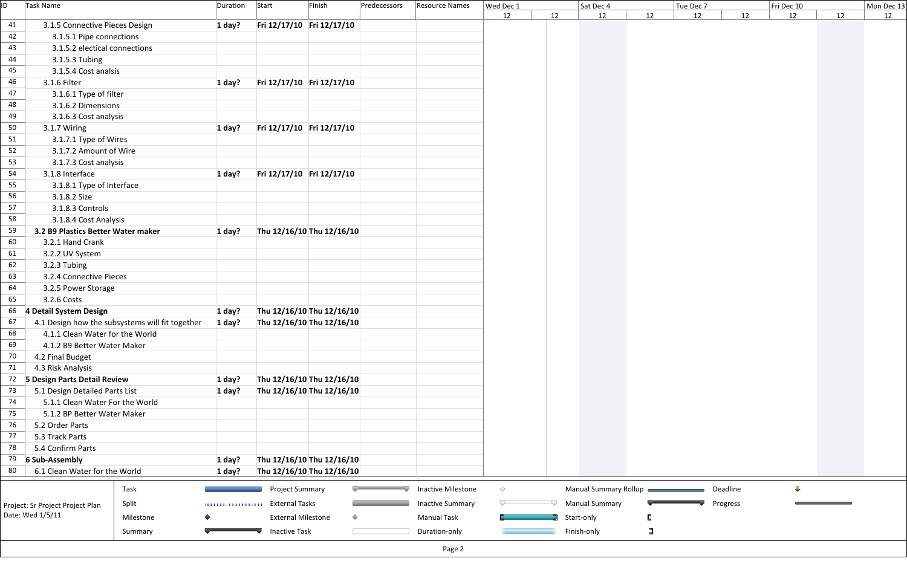| ID | Task Name                          |                                                 | Duration                               | Start<br>Finish           | Predecessors | Resource Names            | Wed Dec 1  |    | Sat Dec 4             |    | Tue Dec 7 |          | Fri Dec 10              |    | Mon Dec 13 |
|----|------------------------------------|-------------------------------------------------|----------------------------------------|---------------------------|--------------|---------------------------|------------|----|-----------------------|----|-----------|----------|-------------------------|----|------------|
|    |                                    |                                                 |                                        |                           |              |                           | 12         | 12 | 12                    | 12 | 12        | 12       | 12                      | 12 | 12         |
| 41 | 3.1.5 Connective Pieces Design     |                                                 | 1 day?                                 | Fri 12/17/10 Fri 12/17/10 |              |                           |            |    |                       |    |           |          |                         |    |            |
| 42 | 3.1.5.1 Pipe connections           |                                                 |                                        |                           |              |                           |            |    |                       |    |           |          |                         |    |            |
| 43 | 3.1.5.2 electical connections      |                                                 |                                        |                           |              |                           |            |    |                       |    |           |          |                         |    |            |
| 44 | 3.1.5.3 Tubing                     |                                                 |                                        |                           |              |                           |            |    |                       |    |           |          |                         |    |            |
| 45 | 3.1.5.4 Cost analsis               |                                                 |                                        |                           |              |                           |            |    |                       |    |           |          |                         |    |            |
| 46 | 3.1.6 Filter                       |                                                 | 1 day?                                 | Fri 12/17/10 Fri 12/17/10 |              |                           |            |    |                       |    |           |          |                         |    |            |
| 47 | 3.1.6.1 Type of filter             |                                                 |                                        |                           |              |                           |            |    |                       |    |           |          |                         |    |            |
| 48 | 3.1.6.2 Dimensions                 |                                                 |                                        |                           |              |                           |            |    |                       |    |           |          |                         |    |            |
| 49 | 3.1.6.3 Cost analysis              |                                                 |                                        |                           |              |                           |            |    |                       |    |           |          |                         |    |            |
| 50 | 3.1.7 Wiring                       |                                                 | 1 day?                                 | Fri 12/17/10 Fri 12/17/10 |              |                           |            |    |                       |    |           |          |                         |    |            |
| 51 | 3.1.7.1 Type of Wires              |                                                 |                                        |                           |              |                           |            |    |                       |    |           |          |                         |    |            |
| 52 | 3.1.7.2 Amount of Wire             |                                                 |                                        |                           |              |                           |            |    |                       |    |           |          |                         |    |            |
| 53 | 3.1.7.3 Cost analysis              |                                                 |                                        |                           |              |                           |            |    |                       |    |           |          |                         |    |            |
| 54 | 3.1.8 Interface                    |                                                 | 1 day?                                 | Fri 12/17/10 Fri 12/17/10 |              |                           |            |    |                       |    |           |          |                         |    |            |
| 55 | 3.1.8.1 Type of Interface          |                                                 |                                        |                           |              |                           |            |    |                       |    |           |          |                         |    |            |
| 56 | 3.1.8.2 Size                       |                                                 |                                        |                           |              |                           |            |    |                       |    |           |          |                         |    |            |
| 57 | 3.1.8.3 Controls                   |                                                 |                                        |                           |              |                           |            |    |                       |    |           |          |                         |    |            |
| 58 | 3.1.8.4 Cost Analysis              |                                                 |                                        |                           |              |                           |            |    |                       |    |           |          |                         |    |            |
| 59 | 3.2 B9 Plastics Better Water maker |                                                 | 1 day?                                 | Thu 12/16/10 Thu 12/16/10 |              |                           |            |    |                       |    |           |          |                         |    |            |
| 60 | 3.2.1 Hand Crank                   |                                                 |                                        |                           |              |                           |            |    |                       |    |           |          |                         |    |            |
| 61 | 3.2.2 UV System                    |                                                 |                                        |                           |              |                           |            |    |                       |    |           |          |                         |    |            |
| 62 | 3.2.3 Tubing                       |                                                 |                                        |                           |              |                           |            |    |                       |    |           |          |                         |    |            |
| 63 | 3.2.4 Connective Pieces            |                                                 |                                        |                           |              |                           |            |    |                       |    |           |          |                         |    |            |
| 64 | 3.2.5 Power Storage                |                                                 |                                        |                           |              |                           |            |    |                       |    |           |          |                         |    |            |
| 65 | 3.2.6 Costs                        |                                                 |                                        |                           |              |                           |            |    |                       |    |           |          |                         |    |            |
| 66 | 4 Detail System Design             |                                                 | 1 day?                                 | Thu 12/16/10 Thu 12/16/10 |              |                           |            |    |                       |    |           |          |                         |    |            |
| 67 |                                    | 4.1 Design how the subsystems will fit together | 1 day?                                 | Thu 12/16/10 Thu 12/16/10 |              |                           |            |    |                       |    |           |          |                         |    |            |
| 68 | 4.1.1 Clean Water for the World    |                                                 |                                        |                           |              |                           |            |    |                       |    |           |          |                         |    |            |
| 69 | 4.1.2 B9 Better Water Maker        |                                                 |                                        |                           |              |                           |            |    |                       |    |           |          |                         |    |            |
| 70 | 4.2 Final Budget                   |                                                 |                                        |                           |              |                           |            |    |                       |    |           |          |                         |    |            |
| 71 | 4.3 Risk Analysis                  |                                                 |                                        |                           |              |                           |            |    |                       |    |           |          |                         |    |            |
| 72 | 5 Design Parts Detail Review       |                                                 | 1 day?                                 | Thu 12/16/10 Thu 12/16/10 |              |                           |            |    |                       |    |           |          |                         |    |            |
| 73 | 5.1 Design Detailed Parts List     |                                                 | 1 day?                                 | Thu 12/16/10 Thu 12/16/10 |              |                           |            |    |                       |    |           |          |                         |    |            |
| 74 | 5.1.1 Clean Water For the World    |                                                 |                                        |                           |              |                           |            |    |                       |    |           |          |                         |    |            |
| 75 | 5.1.2 BP Better Water Maker        |                                                 |                                        |                           |              |                           |            |    |                       |    |           |          |                         |    |            |
| 76 | 5.2 Order Parts                    |                                                 |                                        |                           |              |                           |            |    |                       |    |           |          |                         |    |            |
| 77 | 5.3 Track Parts                    |                                                 |                                        |                           |              |                           |            |    |                       |    |           |          |                         |    |            |
| 78 | 5.4 Confirm Parts                  |                                                 |                                        |                           |              |                           |            |    |                       |    |           |          |                         |    |            |
| 79 | 6 Sub-Assembly                     |                                                 | 1 day?                                 | Thu 12/16/10 Thu 12/16/10 |              |                           |            |    |                       |    |           |          |                         |    |            |
| 80 | 6.1 Clean Water for the World      |                                                 | 1 day?                                 | Thu 12/16/10 Thu 12/16/10 |              |                           |            |    |                       |    |           |          |                         |    |            |
|    |                                    | Task                                            |                                        | Project Summary           |              | <b>Inactive Milestone</b> | $\Diamond$ |    | Manual Summary Rollup |    |           | Deadline | $\overline{\mathbf{u}}$ |    |            |
|    |                                    |                                                 |                                        |                           |              |                           |            |    |                       |    |           |          |                         |    |            |
|    | Project: Sr Project Project Plan   | Split                                           | <b>TELEVISION IN THE REAL PROPERTY</b> | <b>External Tasks</b>     |              | <b>Inactive Summary</b>   |            |    | <b>Manual Summary</b> |    |           | Progress |                         |    |            |
|    | Date: Wed 1/5/11                   | Milestone                                       |                                        | <b>External Milestone</b> | $\Diamond$   | <b>Manual Task</b>        |            |    | Start-only            |    |           |          |                         |    |            |
|    |                                    | Summary                                         |                                        | <b>Inactive Task</b>      |              | Duration-only             |            |    | Finish-only           | 口  |           |          |                         |    |            |
|    |                                    |                                                 |                                        |                           |              | Page 2                    |            |    |                       |    |           |          |                         |    |            |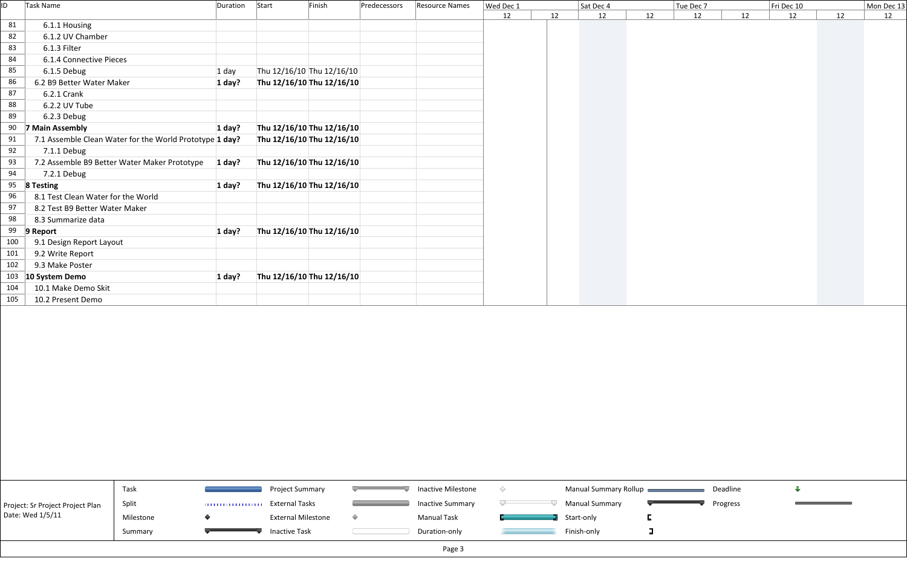| ID  | Task Name                                               | Duration Start | Finish                    | Predecessors | <b>Resource Names</b> | Wed Dec 1 | Sat Dec 4 |    |    | Tue Dec 7 |    | Fri Dec 10 | Mon Dec 13 |    |
|-----|---------------------------------------------------------|----------------|---------------------------|--------------|-----------------------|-----------|-----------|----|----|-----------|----|------------|------------|----|
|     |                                                         |                |                           |              |                       | 12        | 12        | 12 | 12 | 12        | 12 | 12         | 12         | 12 |
| 81  | 6.1.1 Housing                                           |                |                           |              |                       |           |           |    |    |           |    |            |            |    |
| 82  | 6.1.2 UV Chamber                                        |                |                           |              |                       |           |           |    |    |           |    |            |            |    |
| 83  | 6.1.3 Filter                                            |                |                           |              |                       |           |           |    |    |           |    |            |            |    |
| 84  | 6.1.4 Connective Pieces                                 |                |                           |              |                       |           |           |    |    |           |    |            |            |    |
| 85  | 6.1.5 Debug                                             | 1 day          | Thu 12/16/10 Thu 12/16/10 |              |                       |           |           |    |    |           |    |            |            |    |
| 86  | 6.2 B9 Better Water Maker                               | 1 day?         | Thu 12/16/10 Thu 12/16/10 |              |                       |           |           |    |    |           |    |            |            |    |
| 87  | 6.2.1 Crank                                             |                |                           |              |                       |           |           |    |    |           |    |            |            |    |
| 88  | 6.2.2 UV Tube                                           |                |                           |              |                       |           |           |    |    |           |    |            |            |    |
| 89  | 6.2.3 Debug                                             |                |                           |              |                       |           |           |    |    |           |    |            |            |    |
| 90  | 7 Main Assembly                                         | $1$ day?       | Thu 12/16/10 Thu 12/16/10 |              |                       |           |           |    |    |           |    |            |            |    |
| 91  | 7.1 Assemble Clean Water for the World Prototype 1 day? |                | Thu 12/16/10 Thu 12/16/10 |              |                       |           |           |    |    |           |    |            |            |    |
| 92  | 7.1.1 Debug                                             |                |                           |              |                       |           |           |    |    |           |    |            |            |    |
| 93  | 7.2 Assemble B9 Better Water Maker Prototype            | 1 day?         | Thu 12/16/10 Thu 12/16/10 |              |                       |           |           |    |    |           |    |            |            |    |
| 94  | 7.2.1 Debug                                             |                |                           |              |                       |           |           |    |    |           |    |            |            |    |
| 95  | 8 Testing                                               | 1 day?         | Thu 12/16/10 Thu 12/16/10 |              |                       |           |           |    |    |           |    |            |            |    |
| 96  | 8.1 Test Clean Water for the World                      |                |                           |              |                       |           |           |    |    |           |    |            |            |    |
| 97  | 8.2 Test B9 Better Water Maker                          |                |                           |              |                       |           |           |    |    |           |    |            |            |    |
| 98  | 8.3 Summarize data                                      |                |                           |              |                       |           |           |    |    |           |    |            |            |    |
| 99  | Report                                                  | 1 day?         | Thu 12/16/10 Thu 12/16/10 |              |                       |           |           |    |    |           |    |            |            |    |
| 100 | 9.1 Design Report Layout                                |                |                           |              |                       |           |           |    |    |           |    |            |            |    |
| 101 | 9.2 Write Report                                        |                |                           |              |                       |           |           |    |    |           |    |            |            |    |
| 102 | 9.3 Make Poster                                         |                |                           |              |                       |           |           |    |    |           |    |            |            |    |
|     | 103 10 System Demo                                      | 1 day?         | Thu 12/16/10 Thu 12/16/10 |              |                       |           |           |    |    |           |    |            |            |    |
| 104 | 10.1 Make Demo Skit                                     |                |                           |              |                       |           |           |    |    |           |    |            |            |    |
| 105 | 10.2 Present Demo                                       |                |                           |              |                       |           |           |    |    |           |    |            |            |    |

|                                  | Task      |   | Project Summary           | Inactive Milestone      | Manual Summary Rollup |  |
|----------------------------------|-----------|---|---------------------------|-------------------------|-----------------------|--|
| Project: Sr Project Project Plan | Split     | . | External Tasks            | <b>Inactive Summary</b> | <b>Manual Summary</b> |  |
| Date: Wed 1/5/11                 | Milestone |   | <b>External Milestone</b> | <b>Manual Task</b>      | Start-only            |  |
|                                  | Summary   |   | <b>Inactive Task</b>      | Duration-only           | Finish-only           |  |
|                                  |           |   |                           | Page 3                  |                       |  |

Deadline



**Contract Contract Contract Contract Contract** 

Progress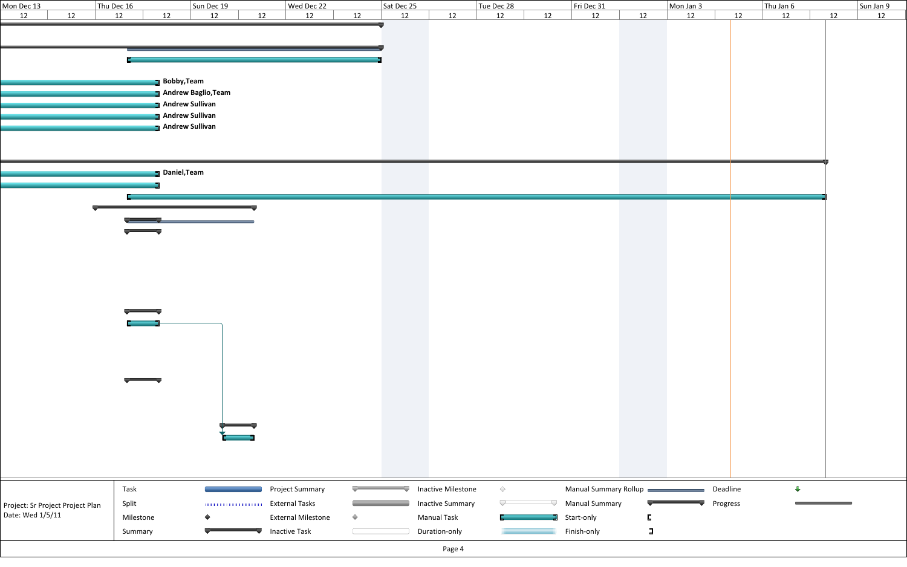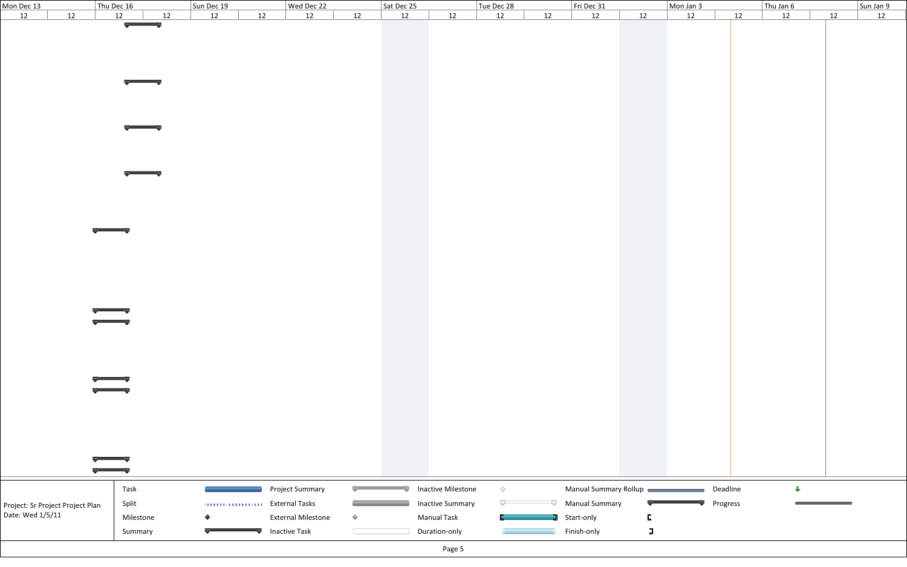| Mon Dec 13                       | Thu Dec 16               |    | Sun Dec 19      |    | Wed Dec 22                |            | Sat Dec 25 |                           | Tue Dec 28 |    | Fri Dec 31            |        | Mon Jan 3 |          |    | Thu Jan $6$             |    | Sun Jan 9 |
|----------------------------------|--------------------------|----|-----------------|----|---------------------------|------------|------------|---------------------------|------------|----|-----------------------|--------|-----------|----------|----|-------------------------|----|-----------|
| 12<br>12                         | 12                       | 12 | 12              | 12 | 12                        | 12         | 12         | 12                        | 12         | 12 | 12                    | 12     | 12        |          | 12 | 12                      | 12 | 12        |
|                                  | $\overline{\phantom{a}}$ |    |                 |    |                           |            |            |                           |            |    |                       |        |           |          |    |                         |    |           |
|                                  |                          |    |                 |    |                           |            |            |                           |            |    |                       |        |           |          |    |                         |    |           |
|                                  |                          |    |                 |    |                           |            |            |                           |            |    |                       |        |           |          |    |                         |    |           |
|                                  |                          |    |                 |    |                           |            |            |                           |            |    |                       |        |           |          |    |                         |    |           |
|                                  |                          |    |                 |    |                           |            |            |                           |            |    |                       |        |           |          |    |                         |    |           |
|                                  |                          |    |                 |    |                           |            |            |                           |            |    |                       |        |           |          |    |                         |    |           |
|                                  |                          |    |                 |    |                           |            |            |                           |            |    |                       |        |           |          |    |                         |    |           |
|                                  |                          |    |                 |    |                           |            |            |                           |            |    |                       |        |           |          |    |                         |    |           |
|                                  |                          |    |                 |    |                           |            |            |                           |            |    |                       |        |           |          |    |                         |    |           |
|                                  |                          |    |                 |    |                           |            |            |                           |            |    |                       |        |           |          |    |                         |    |           |
|                                  |                          |    |                 |    |                           |            |            |                           |            |    |                       |        |           |          |    |                         |    |           |
|                                  |                          |    |                 |    |                           |            |            |                           |            |    |                       |        |           |          |    |                         |    |           |
|                                  |                          |    |                 |    |                           |            |            |                           |            |    |                       |        |           |          |    |                         |    |           |
|                                  |                          |    |                 |    |                           |            |            |                           |            |    |                       |        |           |          |    |                         |    |           |
|                                  |                          |    |                 |    |                           |            |            |                           |            |    |                       |        |           |          |    |                         |    |           |
|                                  |                          |    |                 |    |                           |            |            |                           |            |    |                       |        |           |          |    |                         |    |           |
|                                  |                          |    |                 |    |                           |            |            |                           |            |    |                       |        |           |          |    |                         |    |           |
|                                  |                          |    |                 |    |                           |            |            |                           |            |    |                       |        |           |          |    |                         |    |           |
|                                  |                          |    |                 |    |                           |            |            |                           |            |    |                       |        |           |          |    |                         |    |           |
|                                  |                          |    |                 |    |                           |            |            |                           |            |    |                       |        |           |          |    |                         |    |           |
|                                  |                          |    |                 |    |                           |            |            |                           |            |    |                       |        |           |          |    |                         |    |           |
|                                  |                          |    |                 |    |                           |            |            |                           |            |    |                       |        |           |          |    |                         |    |           |
|                                  |                          |    |                 |    |                           |            |            |                           |            |    |                       |        |           |          |    |                         |    |           |
|                                  |                          |    |                 |    |                           |            |            |                           |            |    |                       |        |           |          |    |                         |    |           |
|                                  |                          |    |                 |    |                           |            |            |                           |            |    |                       |        |           |          |    |                         |    |           |
|                                  |                          |    |                 |    |                           |            |            |                           |            |    |                       |        |           |          |    |                         |    |           |
|                                  |                          |    |                 |    |                           |            |            |                           |            |    |                       |        |           |          |    |                         |    |           |
|                                  |                          |    |                 |    |                           |            |            |                           |            |    |                       |        |           |          |    |                         |    |           |
|                                  |                          |    |                 |    |                           |            |            |                           |            |    |                       |        |           |          |    |                         |    |           |
|                                  |                          |    |                 |    |                           |            |            |                           |            |    |                       |        |           |          |    |                         |    |           |
|                                  |                          |    |                 |    |                           |            |            |                           |            |    |                       |        |           |          |    |                         |    |           |
|                                  |                          |    |                 |    |                           |            |            |                           |            |    |                       |        |           |          |    |                         |    |           |
|                                  |                          |    |                 |    |                           |            |            |                           |            |    |                       |        |           |          |    |                         |    |           |
|                                  |                          |    |                 |    |                           |            |            |                           |            |    |                       |        |           |          |    |                         |    |           |
|                                  |                          |    |                 |    |                           |            |            |                           |            |    |                       |        |           |          |    |                         |    |           |
|                                  |                          |    |                 |    |                           |            |            |                           |            |    |                       |        |           |          |    |                         |    |           |
|                                  |                          |    |                 |    |                           |            |            |                           |            |    |                       |        |           |          |    |                         |    |           |
|                                  |                          |    |                 |    |                           |            |            |                           |            |    |                       |        |           |          |    |                         |    |           |
|                                  |                          |    |                 |    |                           |            |            |                           |            |    |                       |        |           |          |    |                         |    |           |
|                                  |                          |    |                 |    |                           |            |            |                           |            |    |                       |        |           |          |    |                         |    |           |
|                                  |                          |    |                 |    |                           |            |            |                           |            |    |                       |        |           |          |    |                         |    |           |
|                                  | Task                     |    |                 |    | <b>Project Summary</b>    |            |            | <b>Inactive Milestone</b> | $\Diamond$ |    | Manual Summary Rollup |        |           | Deadline |    | $\overline{\mathbf{L}}$ |    |           |
|                                  |                          |    |                 |    |                           |            |            |                           | ∪          |    |                       |        |           |          |    |                         |    |           |
| Project: Sr Project Project Plan | Split                    |    |                 |    | <b>External Tasks</b>     |            |            | <b>Inactive Summary</b>   |            |    | <b>Manual Summary</b> |        |           | Progress |    |                         |    |           |
| Date: Wed 1/5/11                 | Milestone                |    | $\blacklozenge$ |    | <b>External Milestone</b> | $\Diamond$ |            | <b>Manual Task</b>        |            |    | Start-only            | D      |           |          |    |                         |    |           |
|                                  | Summary                  |    |                 |    | Inactive Task             |            |            | Duration-only             |            |    | Finish-only           | $\Box$ |           |          |    |                         |    |           |
|                                  |                          |    |                 |    |                           |            |            |                           |            |    |                       |        |           |          |    |                         |    |           |
|                                  |                          |    |                 |    |                           |            |            | Page 5                    |            |    |                       |        |           |          |    |                         |    |           |